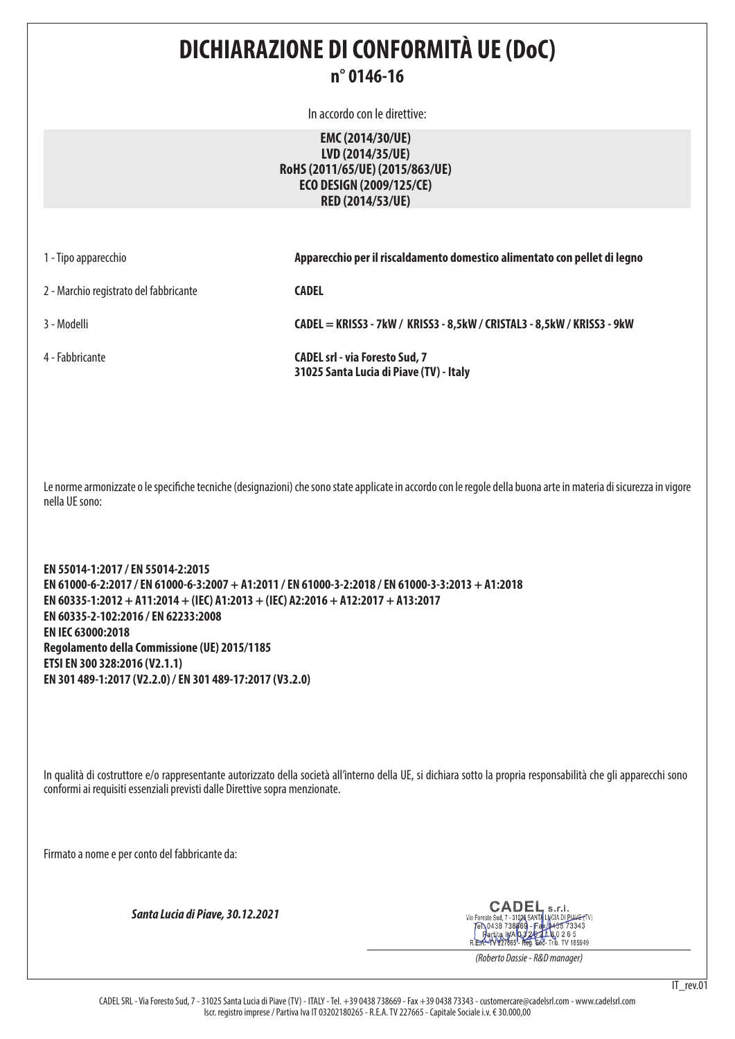# **DICHIARAZIONE DI CONFORMITÀ UE (DoC)**

## **n° 0146-16**

In accordo con le direttive:

**EMC (2014/30/UE) LVD (2014/35/UE) RoHS (2011/65/UE) (2015/863/UE) ECO DESIGN (2009/125/CE) RED (2014/53/UE)**

1 - Tipo apparecchio **Apparecchio per il riscaldamento domestico alimentato con pellet di legno**

2 - Marchio registrato del fabbricante **CADEL**

3 - Modelli **CADEL = KRISS3 - 7kW / KRISS3 - 8,5kW / CRISTAL3 - 8,5kW / KRISS3 - 9kW**

4 - Fabbricante **CADEL srl - via Foresto Sud, 7 31025 Santa Lucia di Piave (TV) - Italy**

Le norme armonizzate o le specifiche tecniche (designazioni) che sono state applicate in accordo con le regole della buona arte in materia di sicurezza in vigore nella UE sono:

**EN 55014-1:2017 / EN 55014-2:2015 EN 61000-6-2:2017 / EN 61000-6-3:2007 + A1:2011 / EN 61000-3-2:2018 / EN 61000-3-3:2013 + A1:2018 EN 60335-1:2012 + A11:2014 + (IEC) A1:2013 + (IEC) A2:2016 + A12:2017 + A13:2017 EN 60335-2-102:2016 / EN 62233:2008 EN IEC 63000:2018 Regolamento della Commissione (UE) 2015/1185 ETSI EN 300 328:2016 (V2.1.1) EN 301 489-1:2017 (V2.2.0) / EN 301 489-17:2017 (V3.2.0)**

In qualità di costruttore e/o rappresentante autorizzato della società all'interno della UE, si dichiara sotto la propria responsabilità che gli apparecchi sono conformi ai requisiti essenziali previsti dalle Direttive sopra menzionate.

Firmato a nome e per conto del fabbricante da:

*Santa Lucia di Piave, 30.12.2021*

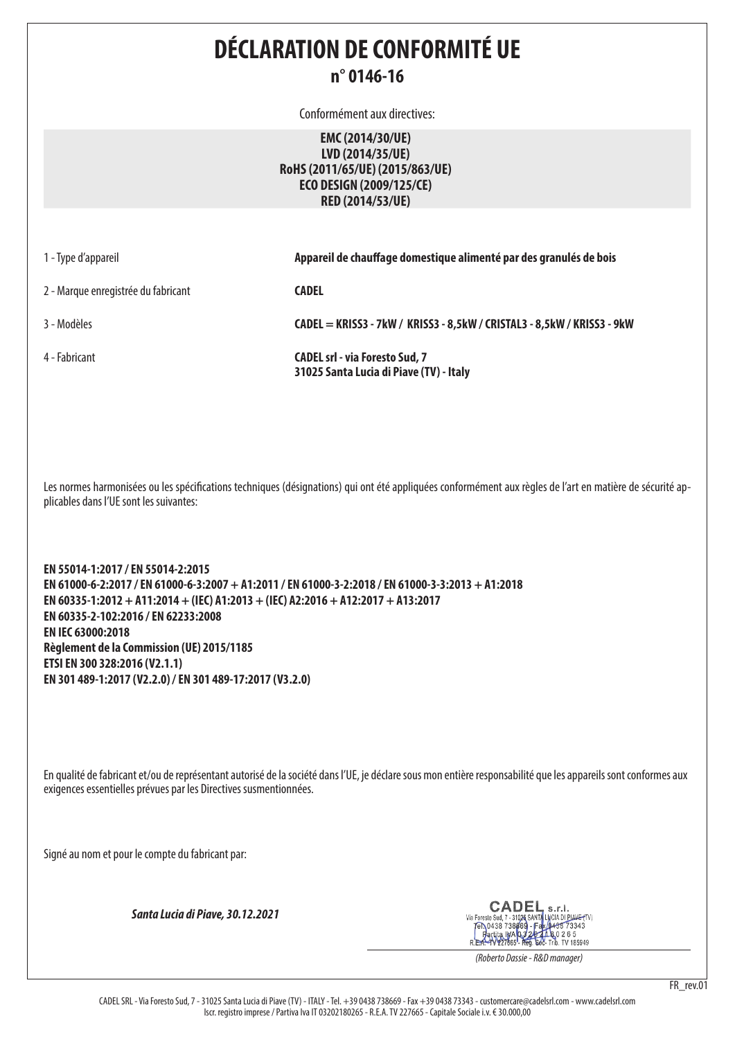## **DÉCLARATION DE CONFORMITÉ UE n° 0146-16**

Conformément aux directives:

**EMC (2014/30/UE) LVD (2014/35/UE) RoHS (2011/65/UE) (2015/863/UE) ECO DESIGN (2009/125/CE) RED (2014/53/UE)**

| 1 - Type d'appareil                 | Appareil de chauffage domestique alimenté par des granulés de bois               |
|-------------------------------------|----------------------------------------------------------------------------------|
| 2 - Marque enregistrée du fabricant | <b>CADEL</b>                                                                     |
| 3 - Modèles                         | CADEL = KRISS3 - 7kW / KRISS3 - 8,5kW / CRISTAL3 - 8,5kW / KRISS3 - 9kW          |
| 4 - Fabricant                       | <b>CADEL srl - via Foresto Sud, 7</b><br>31025 Santa Lucia di Piave (TV) - Italy |

Les normes harmonisées ou les spécifications techniques (désignations) qui ont été appliquées conformément aux règles de l'art en matière de sécurité applicables dans l'UE sont les suivantes:

**EN 55014-1:2017 / EN 55014-2:2015 EN 61000-6-2:2017 / EN 61000-6-3:2007 + A1:2011 / EN 61000-3-2:2018 / EN 61000-3-3:2013 + A1:2018 EN 60335-1:2012 + A11:2014 + (IEC) A1:2013 + (IEC) A2:2016 + A12:2017 + A13:2017 EN 60335-2-102:2016 / EN 62233:2008 EN IEC 63000:2018 Règlement de la Commission (UE) 2015/1185 ETSI EN 300 328:2016 (V2.1.1) EN 301 489-1:2017 (V2.2.0) / EN 301 489-17:2017 (V3.2.0)**

En qualité de fabricant et/ou de représentant autorisé de la société dans l'UE, je déclare sous mon entière responsabilité que les appareils sont conformes aux exigences essentielles prévues par les Directives susmentionnées.

Signé au nom et pour le compte du fabricant par:

*Santa Lucia di Piave, 30.12.2021*

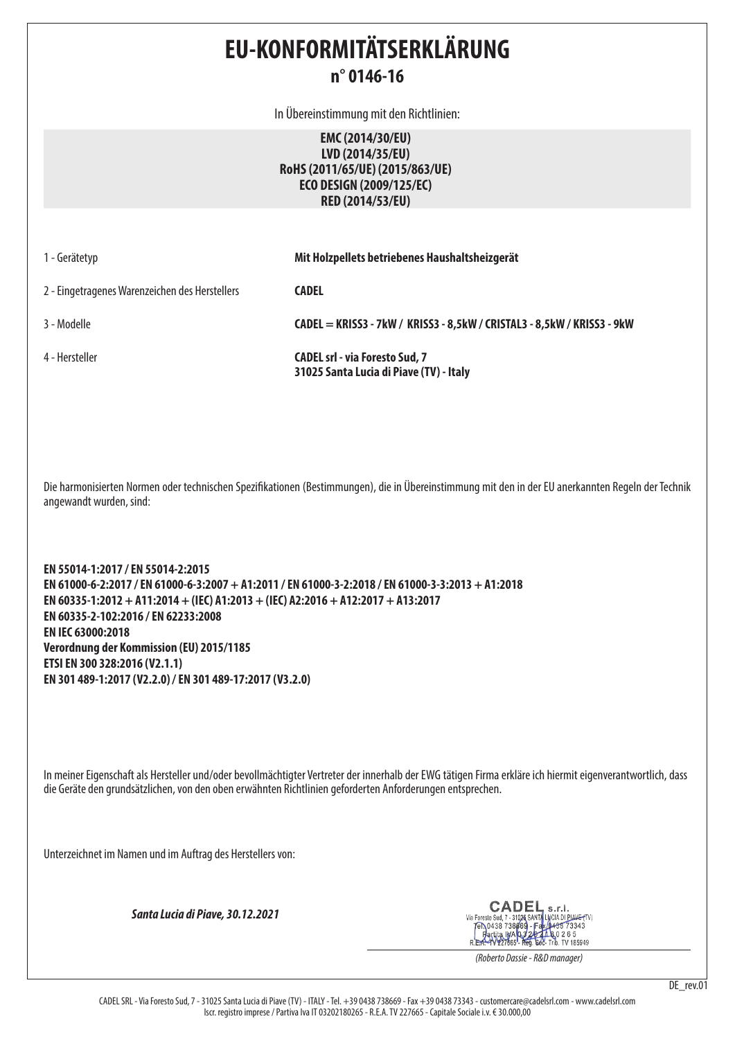## **EU-KONFORMITÄTSERKLÄRUNG n° 0146-16**

In Übereinstimmung mit den Richtlinien:

**EMC (2014/30/EU) LVD (2014/35/EU) RoHS (2011/65/UE) (2015/863/UE) ECO DESIGN (2009/125/EC) RED (2014/53/EU)**

| 1 - Gerätetyp                                  | Mit Holzpellets betriebenes Haushaltsheizgerät                                   |
|------------------------------------------------|----------------------------------------------------------------------------------|
| 2 - Eingetragenes Warenzeichen des Herstellers | <b>CADEL</b>                                                                     |
| 3 - Modelle                                    | CADEL = KRISS3 - 7kW / KRISS3 - 8,5kW / CRISTAL3 - 8,5kW / KRISS3 - 9kW          |
| 4 - Hersteller                                 | <b>CADEL srl - via Foresto Sud, 7</b><br>31025 Santa Lucia di Piave (TV) - Italy |

Die harmonisierten Normen oder technischen Spezifikationen (Bestimmungen), die in Übereinstimmung mit den in der EU anerkannten Regeln der Technik angewandt wurden, sind:

**EN 55014-1:2017 / EN 55014-2:2015 EN 61000-6-2:2017 / EN 61000-6-3:2007 + A1:2011 / EN 61000-3-2:2018 / EN 61000-3-3:2013 + A1:2018 EN 60335-1:2012 + A11:2014 + (IEC) A1:2013 + (IEC) A2:2016 + A12:2017 + A13:2017 EN 60335-2-102:2016 / EN 62233:2008 EN IEC 63000:2018 Verordnung der Kommission (EU) 2015/1185 ETSI EN 300 328:2016 (V2.1.1) EN 301 489-1:2017 (V2.2.0) / EN 301 489-17:2017 (V3.2.0)**

In meiner Eigenschaft als Hersteller und/oder bevollmächtigter Vertreter der innerhalb der EWG tätigen Firma erkläre ich hiermit eigenverantwortlich, dass die Geräte den grundsätzlichen, von den oben erwähnten Richtlinien geforderten Anforderungen entsprechen.

Unterzeichnet im Namen und im Auftrag des Herstellers von:

*Santa Lucia di Piave, 30.12.2021*

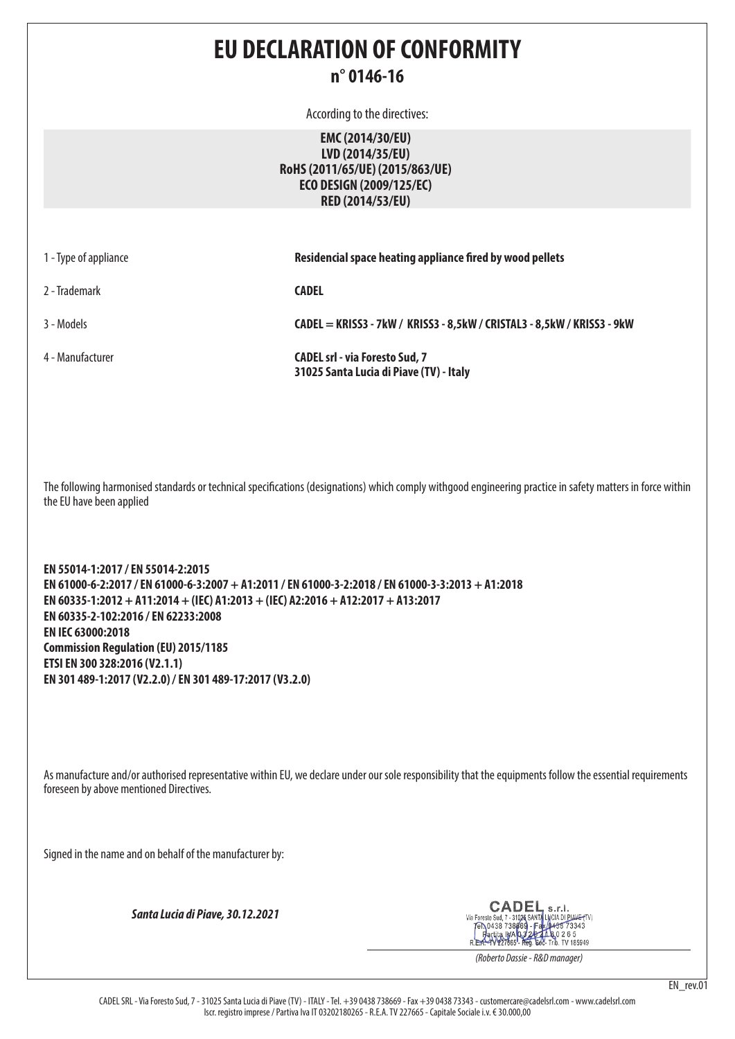## **EU DECLARATION OF CONFORMITY n° 0146-16**

According to the directives:

**EMC (2014/30/EU) LVD (2014/35/EU) RoHS (2011/65/UE) (2015/863/UE) ECO DESIGN (2009/125/EC) RED (2014/53/EU)**

| 1 - Type of appliance | Residencial space heating appliance fired by wood pellets                        |
|-----------------------|----------------------------------------------------------------------------------|
| 2 - Trademark         | <b>CADEL</b>                                                                     |
| 3 - Models            | CADEL = KRISS3 - 7kW / KRISS3 - 8,5kW / CRISTAL3 - 8,5kW / KRISS3 - 9kW          |
| 4 - Manufacturer      | <b>CADEL srl - via Foresto Sud, 7</b><br>31025 Santa Lucia di Piave (TV) - Italy |

The following harmonised standards or technical specifications (designations) which comply withgood engineering practice in safety matters in force within the EU have been applied

**EN 55014-1:2017 / EN 55014-2:2015 EN 61000-6-2:2017 / EN 61000-6-3:2007 + A1:2011 / EN 61000-3-2:2018 / EN 61000-3-3:2013 + A1:2018 EN 60335-1:2012 + A11:2014 + (IEC) A1:2013 + (IEC) A2:2016 + A12:2017 + A13:2017 EN 60335-2-102:2016 / EN 62233:2008 EN IEC 63000:2018 Commission Regulation (EU) 2015/1185 ETSI EN 300 328:2016 (V2.1.1) EN 301 489-1:2017 (V2.2.0) / EN 301 489-17:2017 (V3.2.0)**

As manufacture and/or authorised representative within EU, we declare under our sole responsibility that the equipments follow the essential requirements foreseen by above mentioned Directives.

Signed in the name and on behalf of the manufacturer by:

*Santa Lucia di Piave, 30.12.2021*

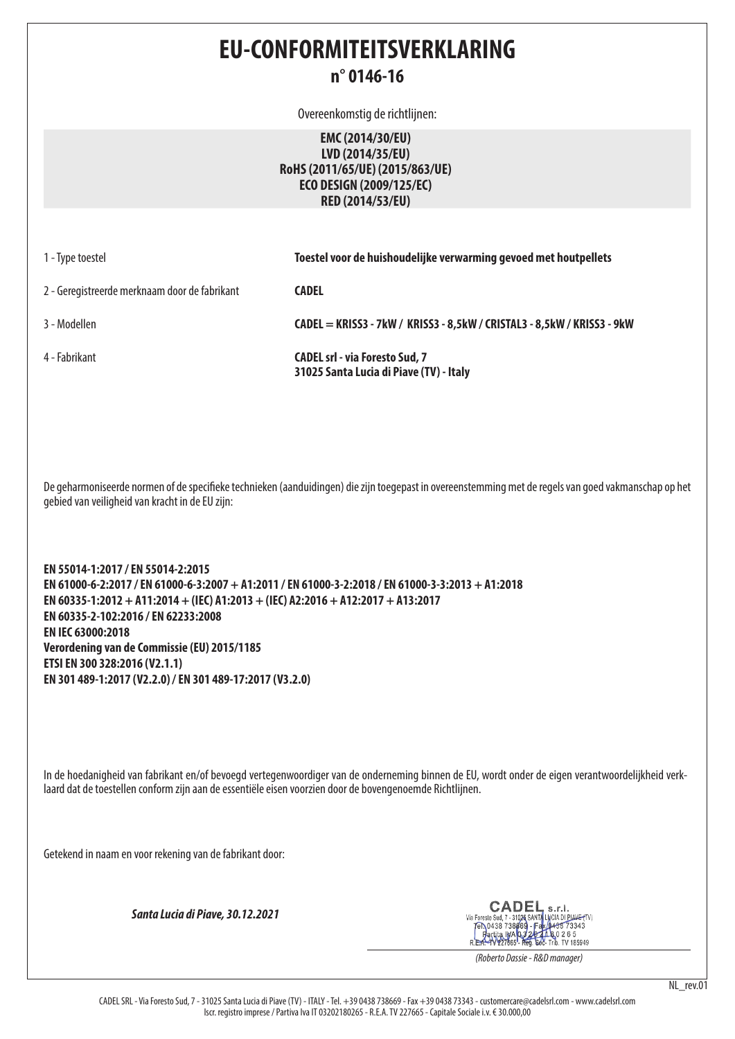## **EU-CONFORMITEITSVERKLARING n° 0146-16**

Overeenkomstig de richtlijnen:

**EMC (2014/30/EU) LVD (2014/35/EU) RoHS (2011/65/UE) (2015/863/UE) ECO DESIGN (2009/125/EC) RED (2014/53/EU)**

| 1 - Type toestel                              | Toestel voor de huishoudelijke verwarming gevoed met houtpellets                 |
|-----------------------------------------------|----------------------------------------------------------------------------------|
| 2 - Geregistreerde merknaam door de fabrikant | CADEL                                                                            |
| 3 - Modellen                                  | CADEL = KRISS3 - 7kW / KRISS3 - 8,5kW / CRISTAL3 - 8,5kW / KRISS3 - 9kW          |
| 4 - Fabrikant                                 | <b>CADEL srl - via Foresto Sud, 7</b><br>31025 Santa Lucia di Piave (TV) - Italy |

De geharmoniseerde normen of de specifieke technieken (aanduidingen) die zijn toegepast in overeenstemming met de regels van goed vakmanschap op het gebied van veiligheid van kracht in de EU zijn:

**EN 55014-1:2017 / EN 55014-2:2015 EN 61000-6-2:2017 / EN 61000-6-3:2007 + A1:2011 / EN 61000-3-2:2018 / EN 61000-3-3:2013 + A1:2018 EN 60335-1:2012 + A11:2014 + (IEC) A1:2013 + (IEC) A2:2016 + A12:2017 + A13:2017 EN 60335-2-102:2016 / EN 62233:2008 EN IEC 63000:2018 Verordening van de Commissie (EU) 2015/1185 ETSI EN 300 328:2016 (V2.1.1) EN 301 489-1:2017 (V2.2.0) / EN 301 489-17:2017 (V3.2.0)**

In de hoedanigheid van fabrikant en/of bevoegd vertegenwoordiger van de onderneming binnen de EU, wordt onder de eigen verantwoordelijkheid verklaard dat de toestellen conform zijn aan de essentiële eisen voorzien door de bovengenoemde Richtlijnen.

Getekend in naam en voor rekening van de fabrikant door:

*Santa Lucia di Piave, 30.12.2021*

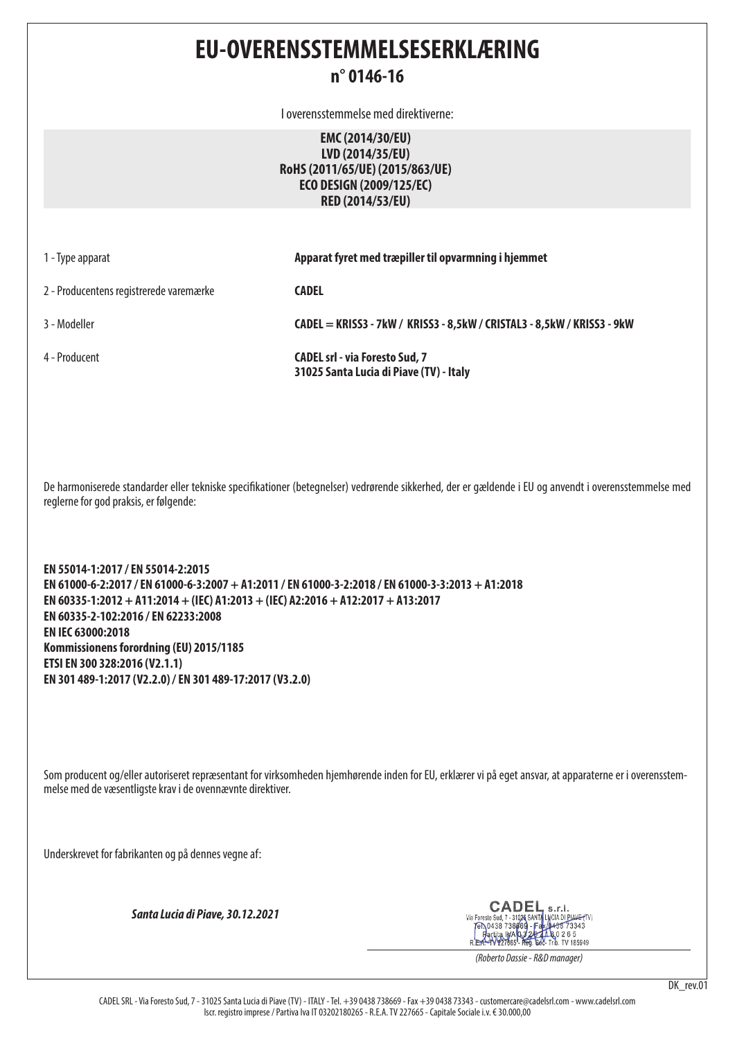## **EU-OVERENSSTEMMELSESERKLÆRING**

#### **n° 0146-16**

I overensstemmelse med direktiverne:

**EMC (2014/30/EU) LVD (2014/35/EU) RoHS (2011/65/UE) (2015/863/UE) ECO DESIGN (2009/125/EC) RED (2014/53/EU)**

| 1 - Type apparat                        | Apparat fyret med træpiller til opvarmning i hjemmet                             |
|-----------------------------------------|----------------------------------------------------------------------------------|
| 2 - Producentens registrerede varemærke | <b>CADEL</b>                                                                     |
| 3 - Modeller                            | CADEL = KRISS3 - 7kW / KRISS3 - 8,5kW / CRISTAL3 - 8,5kW / KRISS3 - 9kW          |
| 4 - Producent                           | <b>CADEL srl - via Foresto Sud, 7</b><br>31025 Santa Lucia di Piave (TV) - Italy |

De harmoniserede standarder eller tekniske specifikationer (betegnelser) vedrørende sikkerhed, der er gældende i EU og anvendt i overensstemmelse med reglerne for god praksis, er følgende:

**EN 55014-1:2017 / EN 55014-2:2015 EN 61000-6-2:2017 / EN 61000-6-3:2007 + A1:2011 / EN 61000-3-2:2018 / EN 61000-3-3:2013 + A1:2018 EN 60335-1:2012 + A11:2014 + (IEC) A1:2013 + (IEC) A2:2016 + A12:2017 + A13:2017 EN 60335-2-102:2016 / EN 62233:2008 EN IEC 63000:2018 Kommissionens forordning (EU) 2015/1185 ETSI EN 300 328:2016 (V2.1.1) EN 301 489-1:2017 (V2.2.0) / EN 301 489-17:2017 (V3.2.0)**

Som producent og/eller autoriseret repræsentant for virksomheden hjemhørende inden for EU, erklærer vi på eget ansvar, at apparaterne er i overensstemmelse med de væsentligste krav i de ovennævnte direktiver.

Underskrevet for fabrikanten og på dennes vegne af:

*Santa Lucia di Piave, 30.12.2021*

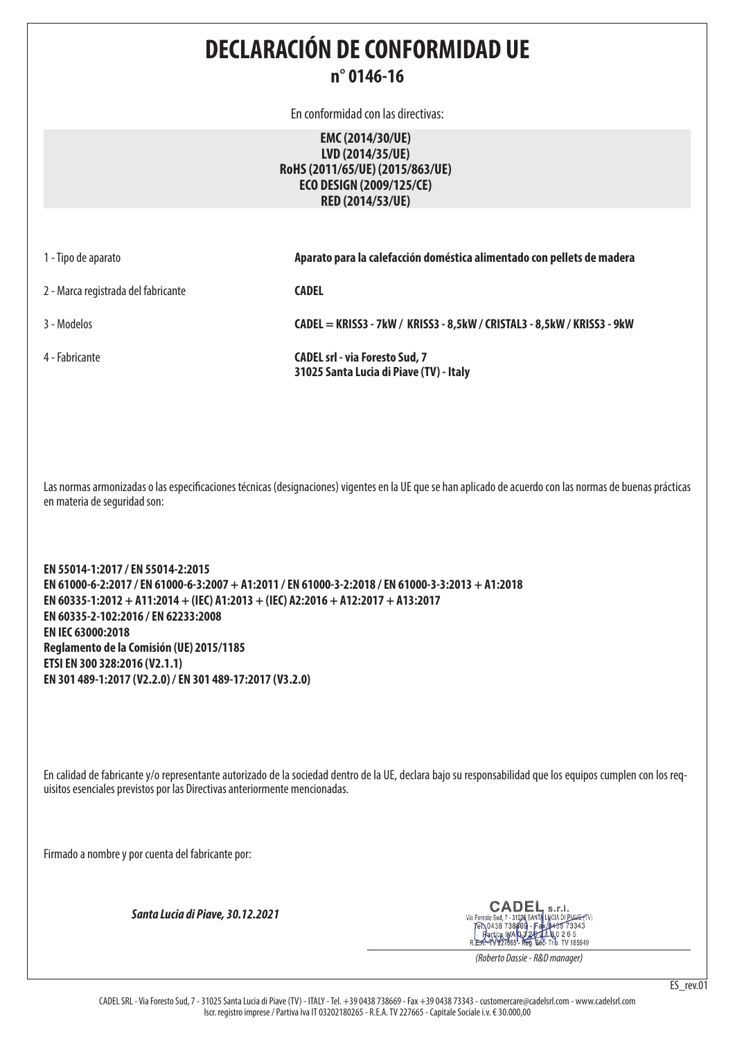**DECLARACIÓN DE CONFORMIDAD UE n° 0146-16**

En conformidad con las directivas:

**EMC (2014/30/UE) LVD (2014/35/UE) RoHS (2011/65/UE) (2015/863/UE) ECO DESIGN (2009/125/CE) RED (2014/53/UE)**

| 1 - Tipo de aparato |  |
|---------------------|--|
|                     |  |

1 - Tipo de aparato **Aparato para la calefacción doméstica alimentado con pellets de madera**

2 - Marca registrada del fabricante **CADEL**

3 - Modelos **CADEL = KRISS3 - 7kW / KRISS3 - 8,5kW / CRISTAL3 - 8,5kW / KRISS3 - 9kW**

4 - Fabricante **CADEL srl - via Foresto Sud, 7 31025 Santa Lucia di Piave (TV) - Italy**

Las normas armonizadas o las especificaciones técnicas (designaciones) vigentes en la UE que se han aplicado de acuerdo con las normas de buenas prácticas en materia de seguridad son:

**EN 55014-1:2017 / EN 55014-2:2015 EN 61000-6-2:2017 / EN 61000-6-3:2007 + A1:2011 / EN 61000-3-2:2018 / EN 61000-3-3:2013 + A1:2018 EN 60335-1:2012 + A11:2014 + (IEC) A1:2013 + (IEC) A2:2016 + A12:2017 + A13:2017 EN 60335-2-102:2016 / EN 62233:2008 EN IEC 63000:2018 Reglamento de la Comisión (UE) 2015/1185 ETSI EN 300 328:2016 (V2.1.1) EN 301 489-1:2017 (V2.2.0) / EN 301 489-17:2017 (V3.2.0)**

En calidad de fabricante y/o representante autorizado de la sociedad dentro de la UE, declara bajo su responsabilidad que los equipos cumplen con los requisitos esenciales previstos por las Directivas anteriormente mencionadas.

Firmado a nombre y por cuenta del fabricante por:

*Santa Lucia di Piave, 30.12.2021*

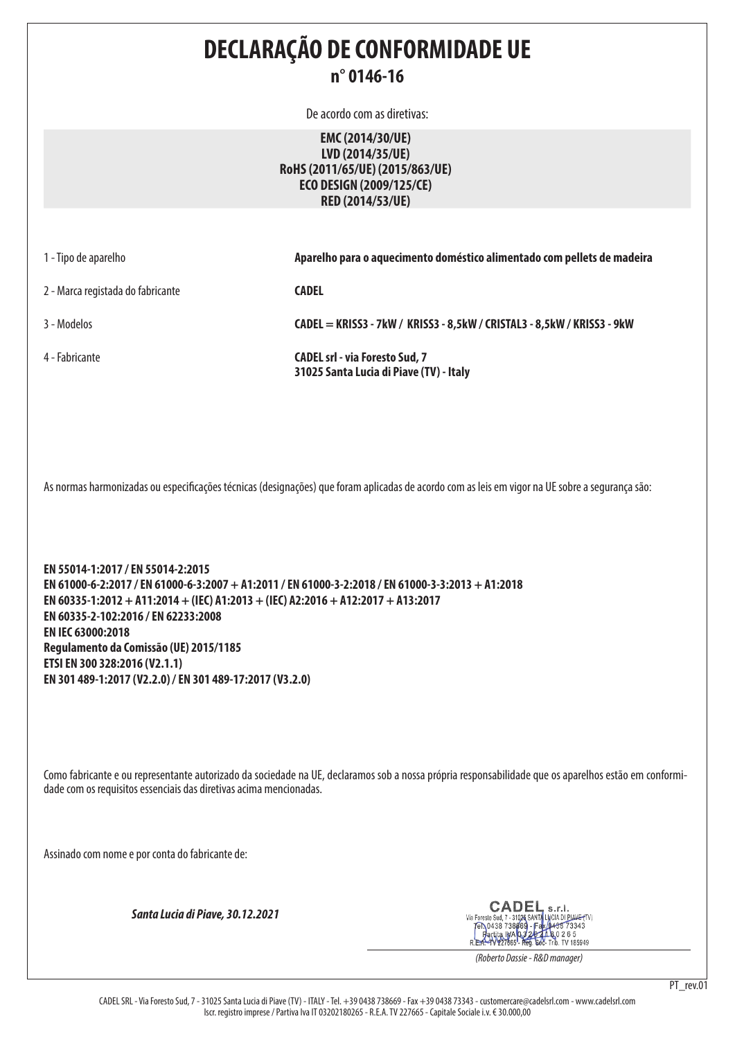| Aparelho para o aquecimento doméstico alimentado com pellets de madeira                                                                                                                                                                                                                                                                                                                                                                                                                                                                                                          |  |  |
|----------------------------------------------------------------------------------------------------------------------------------------------------------------------------------------------------------------------------------------------------------------------------------------------------------------------------------------------------------------------------------------------------------------------------------------------------------------------------------------------------------------------------------------------------------------------------------|--|--|
|                                                                                                                                                                                                                                                                                                                                                                                                                                                                                                                                                                                  |  |  |
|                                                                                                                                                                                                                                                                                                                                                                                                                                                                                                                                                                                  |  |  |
|                                                                                                                                                                                                                                                                                                                                                                                                                                                                                                                                                                                  |  |  |
| As normas harmonizadas ou especificações técnicas (designações) que foram aplicadas de acordo com as leis em vigor na UE sobre a segurança são:<br>EN 55014-1:2017 / EN 55014-2:2015<br>EN 61000-6-2:2017 / EN 61000-6-3:2007 + A1:2011 / EN 61000-3-2:2018 / EN 61000-3-3:2013 + A1:2018<br>EN 60335-1:2012 + A11:2014 + (IEC) A1:2013 + (IEC) A2:2016 + A12:2017 + A13:2017<br>EN 60335-2-102:2016 / EN 62233:2008<br>EN IEC 63000:2018<br>Regulamento da Comissão (UE) 2015/1185<br>ETSI EN 300 328:2016 (V2.1.1)<br>EN 301 489-1:2017 (V2.2.0) / EN 301 489-17:2017 (V3.2.0) |  |  |
| Como fabricante e ou representante autorizado da sociedade na UE, declaramos sob a nossa própria responsabilidade que os aparelhos estão em conformi-<br>dade com os requisitos essenciais das diretivas acima mencionadas.<br>Assinado com nome e por conta do fabricante de:                                                                                                                                                                                                                                                                                                   |  |  |
|                                                                                                                                                                                                                                                                                                                                                                                                                                                                                                                                                                                  |  |  |
|                                                                                                                                                                                                                                                                                                                                                                                                                                                                                                                                                                                  |  |  |
|                                                                                                                                                                                                                                                                                                                                                                                                                                                                                                                                                                                  |  |  |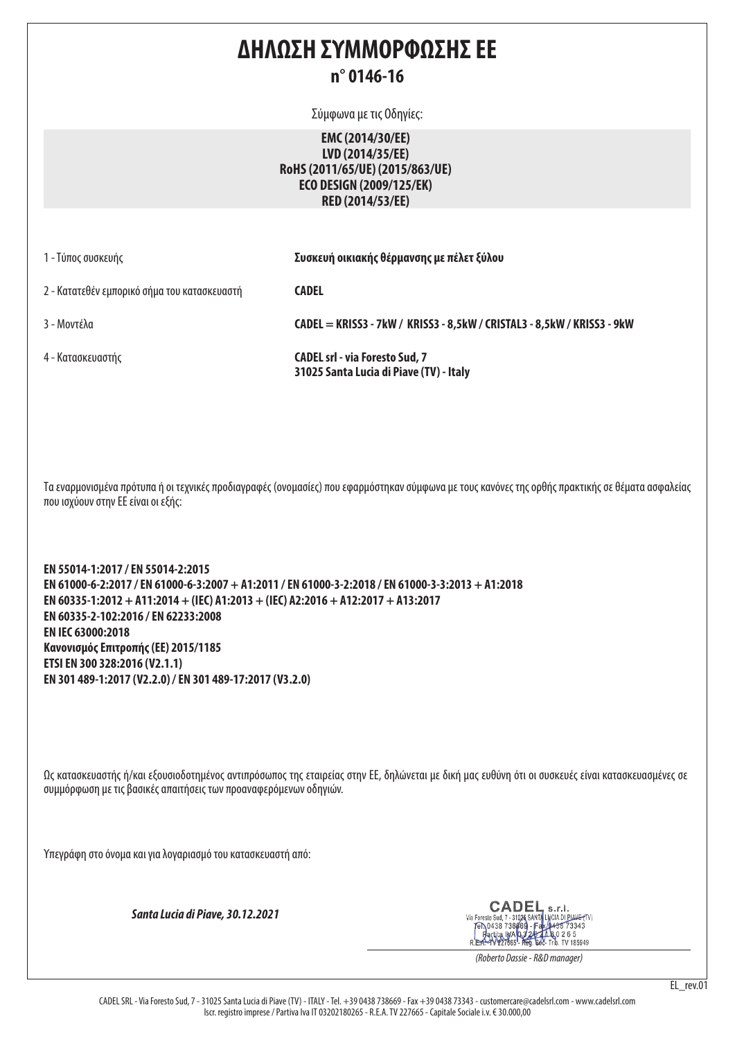## **ΔΗΛΩΣΗ ΣΥΜΜΟΡΦΩΣΗΣ ΕΕ n° 0146-16**

Σύμφωνα με τις Οδηγίες:

**EMC (2014/30/EE) LVD (2014/35/EE) RoHS (2011/65/UE) (2015/863/UE) ECO DESIGN (2009/125/EK) RED (2014/53/EE)**

| 1 - Τύπος συσκευής                           | Συσκευή οικιακής θέρμανσης με πέλετ ξύλου                                        |
|----------------------------------------------|----------------------------------------------------------------------------------|
| 2 - Κατατεθέν εμπορικό σήμα του κατασκευαστή | <b>CADEL</b>                                                                     |
| 3 - Μοντέλα                                  | CADEL = KRISS3 - 7kW / KRISS3 - 8,5kW / CRISTAL3 - 8,5kW / KRISS3 - 9kW          |
| 4 - Κατασκευαστής                            | <b>CADEL srl - via Foresto Sud, 7</b><br>31025 Santa Lucia di Piave (TV) - Italy |

Τα εναρμονισμένα πρότυπα ή οι τεχνικές προδιαγραφές (ονομασίες) που εφαρμόστηκαν σύμφωνα με τους κανόνες της ορθής πρακτικής σε θέματα ασφαλείας που ισχύουν στην ΕΕ είναι οι εξής:

**EN 55014-1:2017 / EN 55014-2:2015 EN 61000-6-2:2017 / EN 61000-6-3:2007 + A1:2011 / EN 61000-3-2:2018 / EN 61000-3-3:2013 + A1:2018 EN 60335-1:2012 + A11:2014 + (IEC) A1:2013 + (IEC) A2:2016 + A12:2017 + A13:2017 EN 60335-2-102:2016 / EN 62233:2008 EN IEC 63000:2018 Κανονισμός Επιτροπής (ΕΕ) 2015/1185 ETSI EN 300 328:2016 (V2.1.1) EN 301 489-1:2017 (V2.2.0) / EN 301 489-17:2017 (V3.2.0)**

Ως κατασκευαστής ή/και εξουσιοδοτημένος αντιπρόσωπος της εταιρείας στην ΕΕ, δηλώνεται με δική μας ευθύνη ότι οι συσκευές είναι κατασκευασμένες σε συμμόρφωση με τις βασικές απαιτήσεις των προαναφερόμενων οδηγιών.

Υπεγράφη στο όνομα και για λογαριασμό του κατασκευαστή από:

*Santa Lucia di Piave, 30.12.2021*

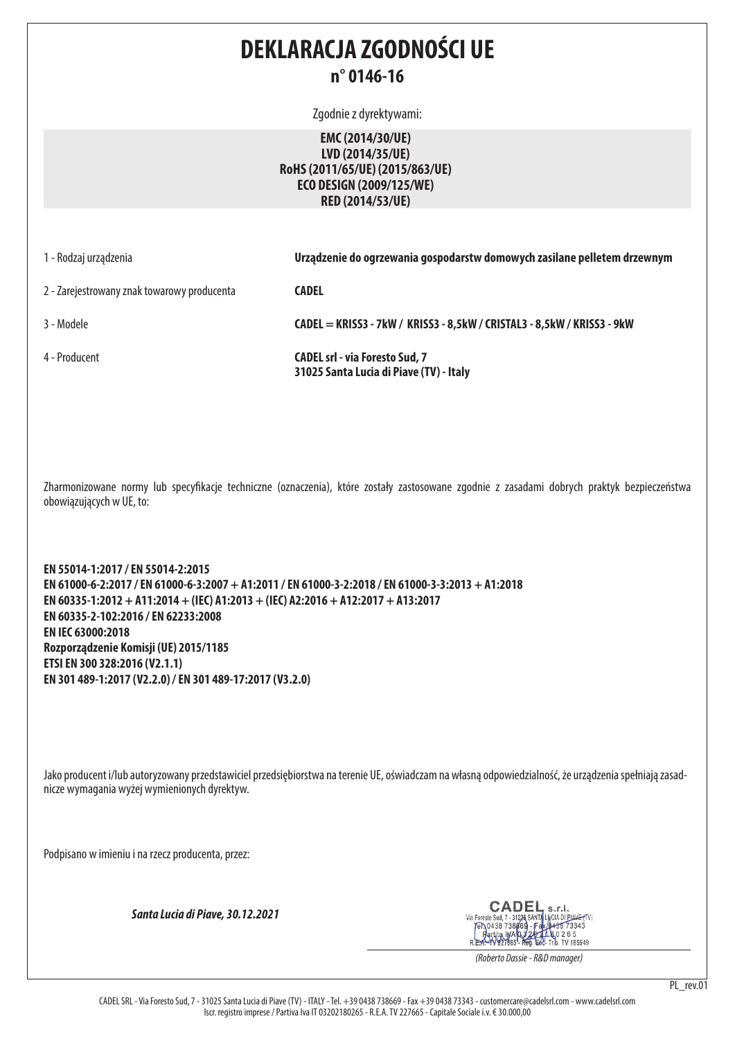## **DEKLARACJA ZGODNOŚCI UE n° 0146-16**

Zgodnie z dyrektywami:

**EMC (2014/30/UE) LVD (2014/35/UE) RoHS (2011/65/UE) (2015/863/UE) ECO DESIGN (2009/125/WE) RED (2014/53/UE)**

|  | 1 - Rodzaj urządzenia |  |
|--|-----------------------|--|
|  |                       |  |

Urządzenie do ogrzewania gospodarstw domowych zasilane pelletem drzewnym

2 - Zarejestrowany znak towarowy producenta **CADEL**

3 - Modele **CADEL = KRISS3 - 7kW / KRISS3 - 8,5kW / CRISTAL3 - 8,5kW / KRISS3 - 9kW**

4 - Producent **CADEL srl - via Foresto Sud, 7 31025 Santa Lucia di Piave (TV) - Italy**

Zharmonizowane normy lub specyfikacje techniczne (oznaczenia), które zostały zastosowane zgodnie z zasadami dobrych praktyk bezpieczeństwa obowiązujących w UE, to:

**EN 55014-1:2017 / EN 55014-2:2015 EN 61000-6-2:2017 / EN 61000-6-3:2007 + A1:2011 / EN 61000-3-2:2018 / EN 61000-3-3:2013 + A1:2018 EN 60335-1:2012 + A11:2014 + (IEC) A1:2013 + (IEC) A2:2016 + A12:2017 + A13:2017 EN 60335-2-102:2016 / EN 62233:2008 EN IEC 63000:2018 Rozporządzenie Komisji (UE) 2015/1185 ETSI EN 300 328:2016 (V2.1.1) EN 301 489-1:2017 (V2.2.0) / EN 301 489-17:2017 (V3.2.0)**

Jako producent i/lub autoryzowany przedstawiciel przedsiębiorstwa na terenie UE, oświadczam na własną odpowiedzialność, że urządzenia spełniają zasadnicze wymagania wyżej wymienionych dyrektyw.

Podpisano w imieniu i na rzecz producenta, przez:

*Santa Lucia di Piave, 30.12.2021*